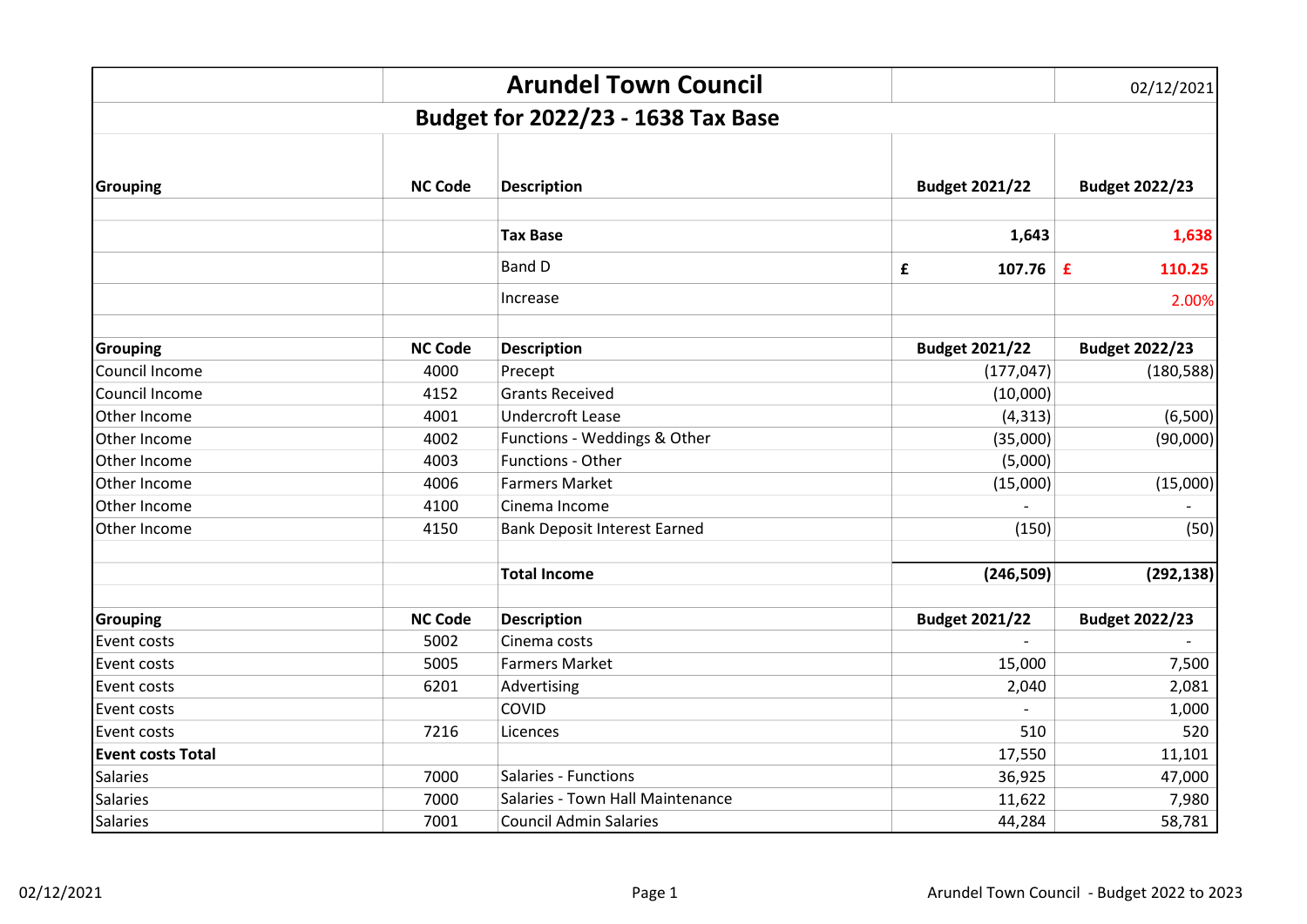|                          |                | <b>Arundel Town Council</b>         |                       | 02/12/2021            |
|--------------------------|----------------|-------------------------------------|-----------------------|-----------------------|
|                          |                | Budget for 2022/23 - 1638 Tax Base  |                       |                       |
|                          |                |                                     |                       |                       |
|                          |                |                                     |                       |                       |
| <b>Grouping</b>          | <b>NC Code</b> | <b>Description</b>                  | <b>Budget 2021/22</b> | <b>Budget 2022/23</b> |
|                          |                |                                     |                       |                       |
|                          |                | <b>Tax Base</b>                     | 1,643                 | 1,638                 |
|                          |                | <b>Band D</b>                       | 107.76 $E$<br>£       | 110.25                |
|                          |                | Increase                            |                       | 2.00%                 |
| <b>Grouping</b>          | <b>NC Code</b> | <b>Description</b>                  | <b>Budget 2021/22</b> | <b>Budget 2022/23</b> |
| Council Income           | 4000           | Precept                             | (177, 047)            | (180, 588)            |
| Council Income           | 4152           | <b>Grants Received</b>              | (10,000)              |                       |
| Other Income             | 4001           | <b>Undercroft Lease</b>             | (4, 313)              | (6,500)               |
| Other Income             | 4002           | Functions - Weddings & Other        | (35,000)              | (90,000)              |
| Other Income             | 4003           | Functions - Other                   | (5,000)               |                       |
| Other Income             | 4006           | <b>Farmers Market</b>               | (15,000)              | (15,000)              |
| Other Income             | 4100           | Cinema Income                       |                       |                       |
| Other Income             | 4150           | <b>Bank Deposit Interest Earned</b> | (150)                 | (50)                  |
|                          |                | <b>Total Income</b>                 | (246, 509)            | (292, 138)            |
| <b>Grouping</b>          | <b>NC Code</b> | <b>Description</b>                  | <b>Budget 2021/22</b> | <b>Budget 2022/23</b> |
| Event costs              | 5002           | Cinema costs                        |                       |                       |
| Event costs              | 5005           | <b>Farmers Market</b>               | 15,000                | 7,500                 |
| Event costs              | 6201           | Advertising                         | 2,040                 | 2,081                 |
| Event costs              |                | COVID                               |                       | 1,000                 |
| Event costs              | 7216           | Licences                            | 510                   | 520                   |
| <b>Event costs Total</b> |                |                                     | 17,550                | 11,101                |
| <b>Salaries</b>          | 7000           | Salaries - Functions                | 36,925                | 47,000                |
| <b>Salaries</b>          | 7000           | Salaries - Town Hall Maintenance    | 11,622                | 7,980                 |
| <b>Salaries</b>          | 7001           | <b>Council Admin Salaries</b>       | 44,284                | 58,781                |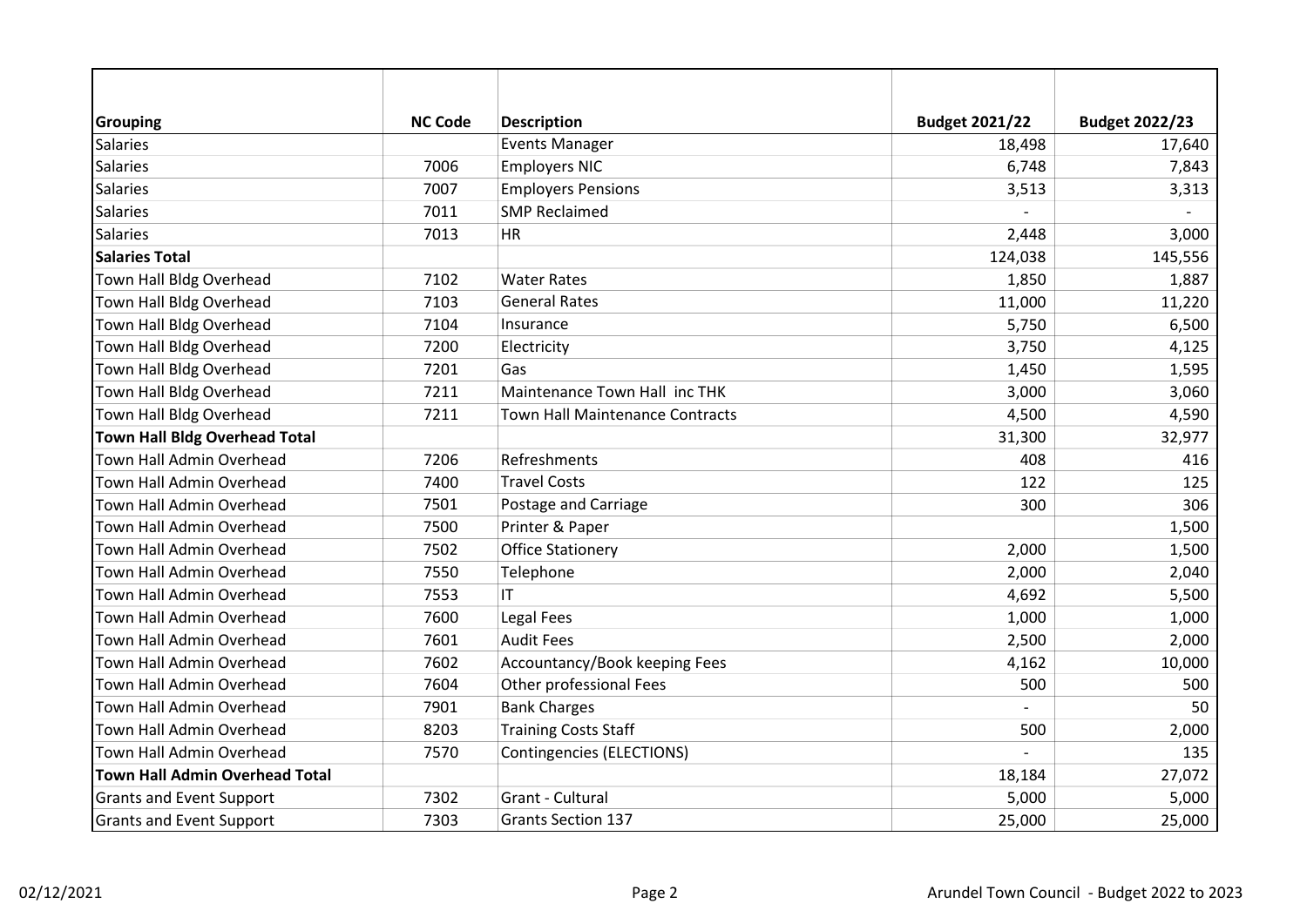| <b>Grouping</b>                       | <b>NC Code</b> | <b>Description</b>                     | <b>Budget 2021/22</b>    | <b>Budget 2022/23</b> |
|---------------------------------------|----------------|----------------------------------------|--------------------------|-----------------------|
| <b>Salaries</b>                       |                | <b>Events Manager</b>                  | 18,498                   | 17,640                |
| <b>Salaries</b>                       | 7006           | <b>Employers NIC</b>                   | 6,748                    | 7,843                 |
| <b>Salaries</b>                       | 7007           | <b>Employers Pensions</b>              | 3,513                    | 3,313                 |
| <b>Salaries</b>                       | 7011           | <b>SMP Reclaimed</b>                   |                          |                       |
| <b>Salaries</b>                       | 7013           | HR                                     | 2,448                    | 3,000                 |
| <b>Salaries Total</b>                 |                |                                        | 124,038                  | 145,556               |
| Town Hall Bldg Overhead               | 7102           | <b>Water Rates</b>                     | 1,850                    | 1,887                 |
| Town Hall Bldg Overhead               | 7103           | <b>General Rates</b>                   | 11,000                   | 11,220                |
| Town Hall Bldg Overhead               | 7104           | Insurance                              | 5,750                    | 6,500                 |
| Town Hall Bldg Overhead               | 7200           | Electricity                            | 3,750                    | 4,125                 |
| Town Hall Bldg Overhead               | 7201           | Gas                                    | 1,450                    | 1,595                 |
| Town Hall Bldg Overhead               | 7211           | Maintenance Town Hall inc THK          | 3,000                    | 3,060                 |
| Town Hall Bldg Overhead               | 7211           | <b>Town Hall Maintenance Contracts</b> | 4,500                    | 4,590                 |
| <b>Town Hall Bldg Overhead Total</b>  |                |                                        | 31,300                   | 32,977                |
| Town Hall Admin Overhead              | 7206           | Refreshments                           | 408                      | 416                   |
| Town Hall Admin Overhead              | 7400           | <b>Travel Costs</b>                    | 122                      | 125                   |
| <b>Town Hall Admin Overhead</b>       | 7501           | Postage and Carriage                   | 300                      | 306                   |
| Town Hall Admin Overhead              | 7500           | Printer & Paper                        |                          | 1,500                 |
| <b>Town Hall Admin Overhead</b>       | 7502           | <b>Office Stationery</b>               | 2,000                    | 1,500                 |
| Town Hall Admin Overhead              | 7550           | Telephone                              | 2,000                    | 2,040                 |
| Town Hall Admin Overhead              | 7553           | IT.                                    | 4,692                    | 5,500                 |
| Town Hall Admin Overhead              | 7600           | Legal Fees                             | 1,000                    | 1,000                 |
| Town Hall Admin Overhead              | 7601           | <b>Audit Fees</b>                      | 2,500                    | 2,000                 |
| Town Hall Admin Overhead              | 7602           | Accountancy/Book keeping Fees          | 4,162                    | 10,000                |
| Town Hall Admin Overhead              | 7604           | Other professional Fees                | 500                      | 500                   |
| Town Hall Admin Overhead              | 7901           | <b>Bank Charges</b>                    | $\overline{\phantom{0}}$ | 50                    |
| Town Hall Admin Overhead              | 8203           | <b>Training Costs Staff</b>            | 500                      | 2,000                 |
| Town Hall Admin Overhead              | 7570           | Contingencies (ELECTIONS)              |                          | 135                   |
| <b>Town Hall Admin Overhead Total</b> |                |                                        | 18,184                   | 27,072                |
| <b>Grants and Event Support</b>       | 7302           | Grant - Cultural                       | 5,000                    | 5,000                 |
| <b>Grants and Event Support</b>       | 7303           | <b>Grants Section 137</b>              | 25,000                   | 25,000                |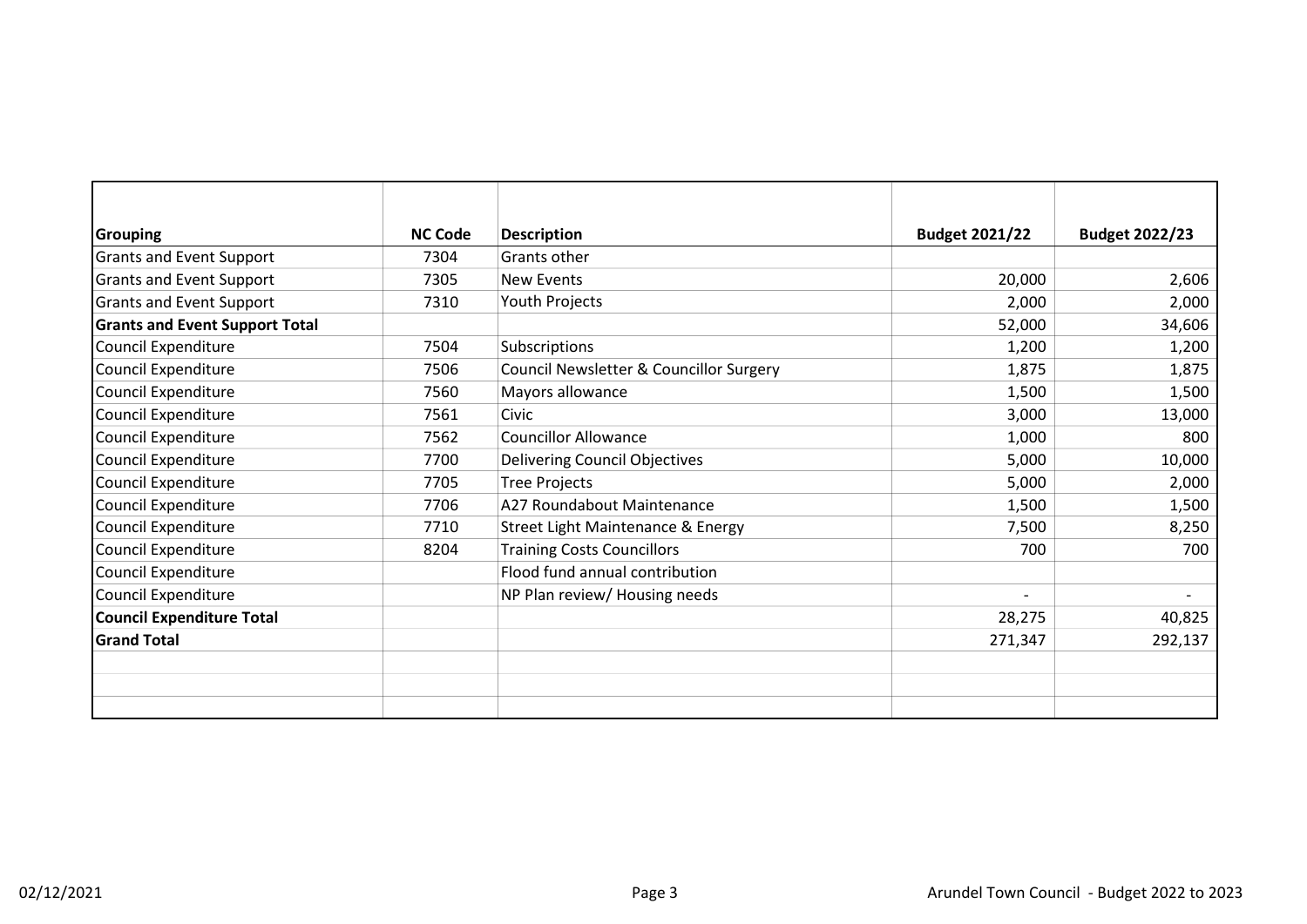| <b>Grouping</b>                       | <b>NC Code</b> | <b>Description</b>                      | <b>Budget 2021/22</b>    | <b>Budget 2022/23</b> |
|---------------------------------------|----------------|-----------------------------------------|--------------------------|-----------------------|
| <b>Grants and Event Support</b>       | 7304           | Grants other                            |                          |                       |
| <b>Grants and Event Support</b>       | 7305           | <b>New Events</b>                       | 20,000                   | 2,606                 |
| <b>Grants and Event Support</b>       | 7310           | Youth Projects                          | 2,000                    | 2,000                 |
| <b>Grants and Event Support Total</b> |                |                                         | 52,000                   | 34,606                |
| Council Expenditure                   | 7504           | Subscriptions                           | 1,200                    | 1,200                 |
| Council Expenditure                   | 7506           | Council Newsletter & Councillor Surgery | 1,875                    | 1,875                 |
| <b>Council Expenditure</b>            | 7560           | Mayors allowance                        | 1,500                    | 1,500                 |
| Council Expenditure                   | 7561           | Civic                                   | 3,000                    | 13,000                |
| Council Expenditure                   | 7562           | <b>Councillor Allowance</b>             | 1,000                    | 800                   |
| Council Expenditure                   | 7700           | <b>Delivering Council Objectives</b>    | 5,000                    | 10,000                |
| Council Expenditure                   | 7705           | <b>Tree Projects</b>                    | 5,000                    | 2,000                 |
| Council Expenditure                   | 7706           | A27 Roundabout Maintenance              | 1,500                    | 1,500                 |
| Council Expenditure                   | 7710           | Street Light Maintenance & Energy       | 7,500                    | 8,250                 |
| Council Expenditure                   | 8204           | <b>Training Costs Councillors</b>       | 700                      | 700                   |
| Council Expenditure                   |                | Flood fund annual contribution          |                          |                       |
| Council Expenditure                   |                | NP Plan review/ Housing needs           | $\overline{\phantom{a}}$ |                       |
| <b>Council Expenditure Total</b>      |                |                                         | 28,275                   | 40,825                |
| <b>Grand Total</b>                    |                |                                         | 271,347                  | 292,137               |
|                                       |                |                                         |                          |                       |
|                                       |                |                                         |                          |                       |
|                                       |                |                                         |                          |                       |